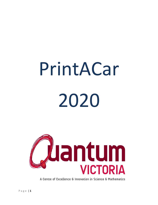# PrintACar 2020



A Centre of Excellence & Innovation in Science & Mathematics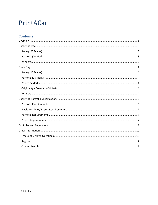# PrintACar

# **Contents**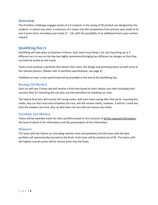#### <span id="page-2-0"></span>**Overview**

The PrintACar challenge engages teams of 2-4 students in the racing of 3D printed cars designed by the students. A school may enter a maximum of 2 teams into the competition from primary year levels (3-6) and 2 teams from secondary year levels  $(7 - 12)$ , with the possibility of an additional team upon written request.

# <span id="page-2-1"></span>**Qualifying Day/s**

Qualifying will take place at Quantum Victoria. Each team must bring 1 car, but may bring up to 2 different cars to race on the day (we highly recommend bringing two different car designs so that they can both be tested on the track).

Teams must produce a portfolio that details their team, the design and printing process as well some of the relevant physics. (Please refer to portfolio specifications, see page 5).

Feedback on how a team performed will be provided at the end of the Qualifying Day.

#### <span id="page-2-2"></span>**Racing (20 Marks)**

Each car will race 3 times and will receive a final time based on their fastest race time (including their reaction time for launching the car) plus any time penalties for breaking car rules.

The fastest final time will receive full racing marks, with each team racing after that point, receiving less marks. Any car that races and completes the race, will still receive marks, however, it will be 1 mark less than the slowest race time. Any car that does not race will not receive any marks.

#### <span id="page-2-3"></span>**Portfolio (20 Marks)**

Teams will be awarded marks for their portfolio based on the inclusion of all the required information, the level of detail of the information and the presentation of the information.

#### <span id="page-2-4"></span>**Winners**

The team with the fastest car (including reaction time and penalties) and the team with the best portfolio will automatically proceed to the finals. Each team will be marked out of 40. The teams with the highest overall scores will be receive entry into the finals.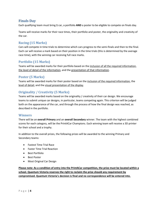#### <span id="page-3-0"></span>**Finals Day**

Each qualifying team must bring **1** car, a portfolio **AND** a poster to be eligible to compete on finals day.

Teams will receive marks for their race times, their portfolio and poster, the originality and creativity of the car.

#### <span id="page-3-1"></span>**Racing (15 Marks)**

Cars will compete in time trials to determine which cars progress to the semi-finals and then to the final. Each car will receive a mark based on their position in the time trials (this is determined by the average race time), with the winning car receiving full race marks.

#### <span id="page-3-2"></span>**Portfolio (15 Marks)**

Teams will be awarded marks for their portfolio based on the inclusion of all the required information, the level of detail of the information, and the presentation of that information.

#### <span id="page-3-3"></span>**Poster (5 Marks)**

Teams will be awarded marks for their poster based on the inclusion of the required information, the level of detail, and the visual presentation of the display.

#### <span id="page-3-4"></span>**Originality / Creativity (5 Marks)**

Teams will be awarded marks based on the originality / creativity of their car design. We encourage teams to submit unique car designs, in particular, teams competing again. This criterion will be judged both on the appearance of the car, and through the process of how the final design was reached, as described in the portfolio.

#### <span id="page-3-5"></span>**Winners**

There will be an **overall Primary** and an **overall Secondary** winner. The team with the highest combined scores for each category, will be the PrintACar Champions. Each winning team will receive a 3D printer for their school and a trophy.

In addition to the overall prizes, the following prizes will be awarded to the winning Primary and Secondary teams:

- Fastest Time Trial Race
- Faster Time Trial Reaction
- Best Portfolio
- Best Poster
- Most Original Car Design

**Please note: As a condition of entry into the PrintACar competition, the prize must be located within a school. Quantum Victoria reserves the right to reclaim the prize should any requirement by compromised. Quantum Victoria's decision is final and no correspondence will be entered into.**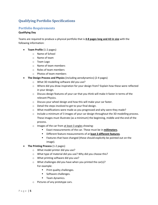# <span id="page-4-0"></span>**Qualifying Portfolio Specifications**

#### <span id="page-4-1"></span>**Portfolio Requirements**

#### **Qualifying Day**

Teams are required to produce a physical portfolio that is **4-8 pages long and A3 in size** with the following information:

- **Team Profile** (1-2 pages)
	- o Name of School
	- o Name of team
	- o Team Logo
	- o Name of team members
	- o Roles of team members
	- o Photos of team members
- **The Design Process and Physics** (including aerodynamics) (2-4 pages)
	- o What 3D modelling software did you use?
	- $\circ$  Where did you draw inspiration for your design from? Explain how these were reflected in your design.
	- o Discuss design features of your car that you think will make it faster in terms of the relevant Physics.
	- o Discuss your wheel design and how this will make your car faster.
	- o Detail the steps involved to get to your final design.
	- $\circ$  What modifications were made as you progressed and why were they made?
	- $\circ$  Include a minimum of 3 images of your car design throughout the 3D modelling process. These images must illustrate (as a minimum) the beginning, middle and the end of the process.
	- o Images of the car from at least 3 angles showing:
		- Exact measurements of the car. These must be in **millimeters**.
		- Different feature measurements of at **least 3 different features**.
		- Features that have changed (these should explicitly be pointed out on the image).
- **The Printing Process** (1-2 pages)
	- o What model printer did you use?
	- o What type of material did you use? Why did you choose this?
	- o What printing software did you use?
	- o What challenges did you have when you printed the car(s)? For example:
		- Print quality challenges.
		- Software challenges.
		- Team dynamics.
	- o Pictures of any prototype cars.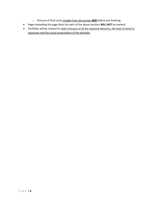- o Pictures of final car(s) straight from the printer **AND** before any finishing.
- Pages exceeding the page limits for each of the above sections **WILL NOT** be marked.
- Portfolios will be marked for both inclusion of all the required elements, the level of detail in responses and the visual presentation of the portfolio.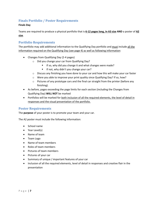#### <span id="page-6-0"></span>**Finals Portfolio / Poster Requirements**

#### **Finals Day**

Teams are required to produce a physical portfolio that is **6-12 pages long, in A3 size AND** a poster of **A2 size**.

#### <span id="page-6-1"></span>**Portfolio Requirements**

The portfolio may add additional information to the Qualifying Day portfolio and must include all the information required on the Qualifying Day (see page 4) as well as following information:

- Changes from Qualifying Day (2-4 pages)
	- o Did you change your car from Qualifying Day?
		- If so, why did you change it and what changes were made?
		- **■** If not, why didn't you change your car?
	- $\circ$  Discuss any finishing you have done to your car and how this will make your car faster
	- o Were you able to improve your print quality since Qualifying Day? If so, how?
	- $\circ$  Pictures of any prototype cars and the final car straight from the printer (before any finishing).
- As before, pages exceeding the page limits for each section (including the Changes from Qualifying Day) **WILL NOT** be marked
- Portfolios will be marked for both inclusion of all the required elements, the level of detail in responses and the visual presentation of the portfolio.

#### <span id="page-6-2"></span>**Poster Requirements**

The **purpose** of your poster is to promote your team and your car.

The A2 poster must include the following information:

- School name
- Year Level(s)
- Name of team
- Team Logo
- Name of team members
- Roles of team members
- Pictures of team members
- Pictures of your car
- Summary of unique / important features of your car
- Inclusion of all the required elements, level of detail in responses and creative flair in the presentation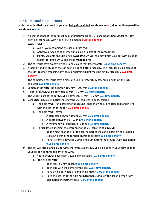# <span id="page-7-0"></span>**Car Rules and Regulations**

**Note: penalties that may result in your car being disqualified are shown in red, all other time penalties are shown in blue.**

1. All components of the car must be manufactured using 3D Fused Deposition Modeling (FDM) printing technology with ABS or PLA filaments. **0.2s time penalty**

#### **EXCEPTIONS**

- a. Axels (We recommend the use of brass rod)
- b. Adhesives (Used to stick wheels to axels or parts of the car together)
- c. Paints, Sealants and Stickers **(FINALS DAY ONLY)** (You may finish your car with paint or sealant for finals ONLY and these **must be dry)**
- 2. The car must have exactly 4 wheels and 2 axles that freely rotate. **0.05s time penalty**
- 3. Assembly and finishing of the car must be done **before** race day. This includes gluing pieces of the car together, attaching of wheels or painting (paint must be dry by race day). **0.5s time penalty**
- 4. The completed car must have a mass of 50g or greater (fully assembled, without the  $CO<sub>2</sub>$ canister) **0.3s time penalty**
- 5. Length of car **MUST** be between 100 mm 200 mm **0.1s time penalty**
- 6. Height of car **MUST** be between 45 mm 75 mm **0.1s time penalty**
- 7. The widest part of the car **MUST** be between 40 mm 75 mm **0.1s time penalty**
- 8. Cars **MUST** have a cylindrical hole for the  $CO<sub>2</sub>$  canister to be inserted in.
	- a. The hole **MUST** run parallel to the ground (once the wheels are attached) and in-line with the center of the car. **0.1 s time penalty**
	- b. The hole **MUST** have:
		- i. A diameter between 19 and 20 mm **0.1 s time penalty**
		- ii. A depth between 50 52 mm **0.1 s time penalty**
		- iii. A minimum wall thickness of 3 mm. **0.1 s time penalty**
	- c. To facilitate launching, the entrance to the CO2 canister hole **MUST**:
		- i. Be the most rear point of the car (no part of the car including wheels should stick out behind the canister entrance point) **0.05 s time penalty**
		- ii. Have its centre between 25mm and 50mm from the ground (fully assembled). **0.05 s time penalty**
- 9. The car will race along a guide wire, therefore eyelets **MUST** be included in your print so that your car can be threaded onto the wire.
	- a. Your car **MUST** have exactly two distinct eyelets. **0.1 s time penalty**
	- b. The eyelets **MUST**:
		- i. Be at least 50 mm apart. **0.05 s time penalty**
		- ii. Be in-line with the center of the car. **0.05 s time penalty**
		- iii. Have a hole between 4 5 mm in diameter. **0.05 s time penalty**
		- iv. Have the center of the hole **no more** than 10mm off the ground when fully assembled (including wheels) **0.05 s time penalty**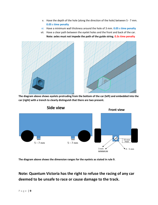- v. Have the depth of the hole (along the direction of the hole) between 5 7 mm. **0.05 s time penalty**
- vi. Have a minimum wall thickness around the hole of 3 mm. **0.05 s time penalty**
- vii. Have a clear path between the eyelet holes and the front and back of the car. **Note: axles must not impede the path of the guide string. 0.3s time penalty**



**The diagram above shows eyelets protruding from the bottom of the car (left) and embedded into the car (right) with a trench to clearly distinguish that there are two present.**



**The diagram above shows the dimension ranges for the eyelets as stated in rule 9.**

**Note: Quantum Victoria has the right to refuse the racing of any car deemed to be unsafe to race or cause damage to the track.**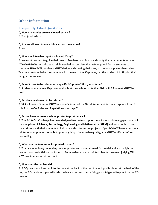## <span id="page-9-0"></span>**Other Information**

#### <span id="page-9-1"></span>**Frequently Asked Questions**

#### **Q. How many axles are we allowed per car?**

A. Two (dual axle car).

#### **Q. Are we allowed to use a lubricant on these axles?**

A. No.

#### **Q. How much teacher input is allowed, if any?**

A. We want teachers to guide their teams. Teachers can discuss and clarify the requirements as listed in '*The Field Guide'* and also teach skills needed to complete the tasks required for the students to compete, **HOWEVER**, students **MUST** design and creating their cars, portfolio and poster themselves. Teachers can familiarise the students with the use of the 3D printer, but the students MUST print their designs themselves.

#### **Q. Does it have to be printed on a specific 3D printer? If so, what type?**

A. Students can use any 3D printer available at their school. Note that **ABS** or **PLA filament MUST** be used.

#### **Q. Do the wheels need to be printed?**

A. **YES,** all parts of the car **MUST** be manufactured with a 3D printer except for the exceptions listed in rule 1 of the **Car Rules and Regulations** (see page 7).

#### **Q. Do we have to use our school printer to print our car?**

A. The PrintACar Challenge has been designed to create an opportunity for schools to engage students in the disciplines of **Science, Technology, Engineering and Mathematics (STEM)** and for schools to use their printers with their students to help spark ideas for future projects. If you **DO NOT** have access to a printer or your printer is **unable** to print anything of reasonable quality, you **MUST** notify us before proceeding.

#### **Q. What are the tolerances for printed shapes?**

A. Tolerances will vary depending on your printer and materials used. Some trial and error might be needed. You can initially allow for up to 1mm variance in your printed objects. However, judging **WILL NOT** take tolerances into account.

#### **Q. How does the car launch?**

A. A  $CO<sub>2</sub>$  canister is inserted into the hole at the back of the car. A launch pod is placed at the back of the car, the  $CO<sub>2</sub>$  canister is placed inside the launch pod and then a firing pin is triggered to puncture the  $CO<sub>2</sub>$ canister.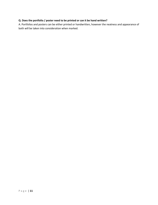#### **Q. Does the portfolio / poster need to be printed or can it be hand written?**

A. Portfolios and posters can be either printed or handwritten, however the neatness and appearance of both will be taken into consideration when marked.